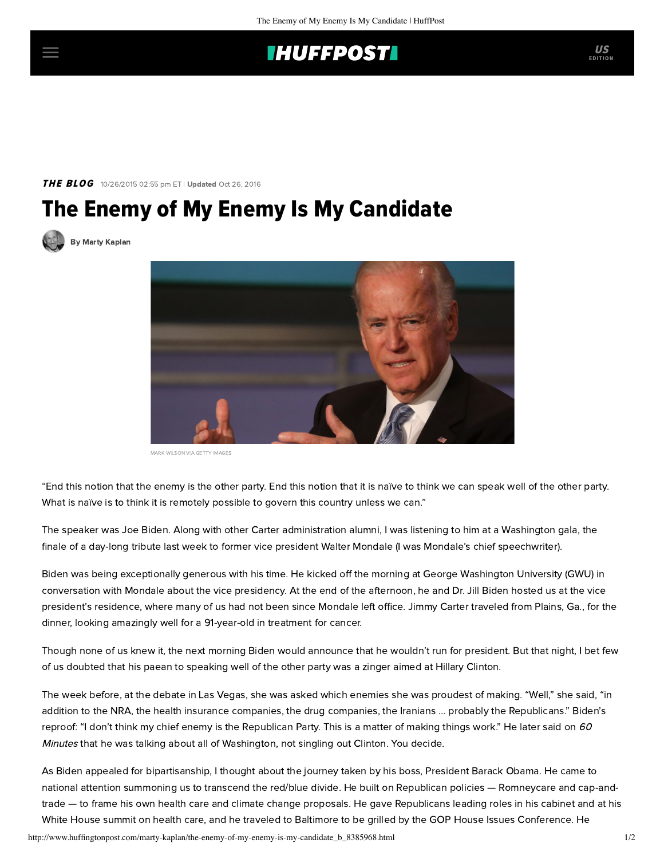# **THUFFPOST**

### **THE BLOG** 10/26/2015 02:55 pm ET | Updated Oct 26, 2016

# The Enemy of My Enemy Is My Candidate





MARK WILSON VIA GETTY IMAGES

"End this notion that the enemy is the other party. End this notion that it is naïve to think we can speak well of the other party. What is naïve is to think it is remotely possible to govern this country unless we can."

The speaker was Joe Biden. Along with other Carter administration alumni, I was listening to him ata [Washington gala,](http://www.c-span.org/video/?328856-1/tribute-walter-mondale) the finale of a day-long tribute last week to former vice president Walter Mondale (I was Mondale's chief speechwriter).

Biden was being exceptionally generous with his time. He kicked off the morning at George Washington University (GWU) in [conversation](http://www.c-span.org/video/?328827-1/walter-mondale-joe-biden-reflections-office-vice-president) with Mondale about the vice presidency. At the end of the afternoon, he and Dr. Jill Biden hosted us at the vice president's residence, where many of us had not been since Mondale left office. Jimmy Carter traveled from Plains, Ga., for the dinner, looking amazingly well for a 91-year-old in treatment for cancer.

Though none of us knew it, the next morning Biden would [announce](http://www.politico.com/story/2015/10/full-transcript-joe-biden-not-running-for-president-215019) that he wouldn't run for president. But that night, I bet few of us doubted that his paean to speaking well of the other party was a zinger aimed at Hillary Clinton.

The week before, at the debate in Las Vegas, she was asked which enemies she was proudest of making. "Well," she said, "in addition to the NRA, the health insurance companies, the drug companies, the Iranians ... probably the Republicans." Biden's reproof: "I don't think my chief enemy is the Republican Party. This is a matter of making things work." He later said on 60 Minutes that he was talking about all of Washington, not singling out Clinton. You decide.

As Biden appealed for bipartisanship, I thought about the journey taken by his boss, President Barack Obama. He came to national attention summoning us to transcend the red/blue divide. He built on Republican policies — Romneycare and cap-andtrade — to frame his own health care and climate change proposals. He gave Republicans leading roles in his cabinet and at his White House summit on health care, and he traveled to Baltimore to be grilled by the GOP House Issues Conference. He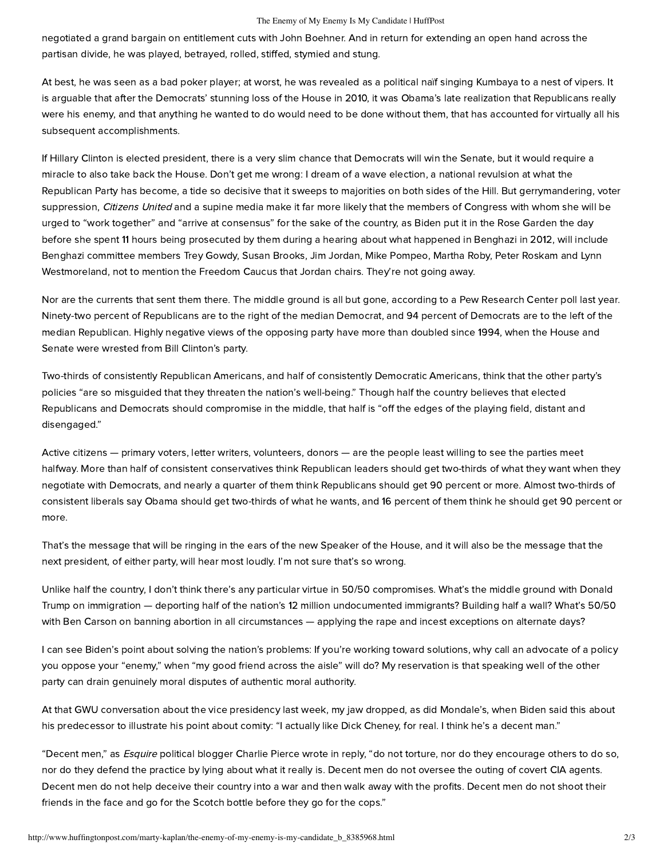#### The Enemy of My Enemy Is My Candidate | HuffPost

negotiated a grand bargain on entitlement cuts with John Boehner. And in return for extending an open hand across the partisan divide, he was played, betrayed, rolled, stiffed, stymied and stung.

At best, he was seen as a bad poker player; at worst, he was revealed as a political naïf singing Kumbaya to a nest of vipers. It is arguable that after the Democrats' stunning loss of the House in 2010, it was Obama's late realization that Republicans really were his enemy, and that anything he wanted to do would need to be done without them, that has accounted for virtually all his subsequent accomplishments.

If Hillary Clinton is elected president, there is a very slim chance that Democrats will win the Senate, but it would require a miracle to also take back the House. Don't get me wrong: [I dream of a wave election,](http://www.jewishjournal.com/marty_kaplan/article/marty_kaplan_dreaming_of_a_wave_election) a national revulsion at what the Republican Party has become, a tide so decisive that it sweeps to majorities on both sides of the Hill. But gerrymandering, voter suppression, Citizens United and a supine media make it far more likely that the members of Congress with whom she will be urged to "work together" and "arrive at consensus" for the sake of the country, as Biden put it in the Rose Garden the day before she spent 11 hours being prosecuted by them during a hearing about what happened in Benghazi in 2012, will include Benghazi committee members Trey Gowdy, Susan Brooks, Jim Jordan, Mike Pompeo, Martha Roby, Peter Roskam and Lynn Westmoreland, not to mention the Freedom Caucus that Jordan chairs. They're not going away.

Nor are the currents that sent them there. The middle ground is all but gone, according to a Pew Research Center [poll](http://www.people-press.org/2014/06/12/political-polarization-in-the-american-public/) last year. Ninety-two percent of Republicans are to the right of the median Democrat, and 94 percent of Democrats are to the left of the median Republican. Highly negative views of the opposing party have more than doubled since 1994, when the House and Senate were wrested from Bill Clinton's party.

Two-thirds of consistently Republican Americans, and half of consistently Democratic Americans, think that the other party's policies "are so misguided that they threaten the nation's well-being." Though half the country believes that elected Republicans and Democrats should compromise in the middle, that half is "off the edges of the playing field, distant and disengaged."

Active citizens — primary voters, letter writers, volunteers, donors — are the people least willing to see the parties meet halfway. More than half of consistent conservatives think Republican leaders should get two-thirds of what they want when they negotiate with Democrats, and nearly a quarter of them think Republicans should get 90 percent or more. Almost two-thirds of consistent liberals say Obama should get two-thirds of what he wants, and 16 percent of them think he should get 90 percent or more.

That's the message that will be ringing in the ears of the new Speaker of the House, and it will also be the message that the next president, of either party, will hear most loudly. I'm not sure that's so wrong.

Unlike half the country, I don't think there's any particular virtue in 50/50 compromises. What's the middle ground with Donald Trump on immigration — deporting half of the nation's 12 million undocumented immigrants? Building half a wall? What's 50/50 with Ben Carson on banning abortion [in all circumstances](http://www.usatoday.com/story/news/2015/10/25/ben-carson-abortion-rape-incest-roe-wade/74585040/) — applying the rape and incest exceptions on alternate days?

I can see Biden's point about solving the nation's problems: If you're working toward solutions, why call an advocate of a policy you oppose your "enemy," when "my good friend across the aisle" will do? My reservation is that speaking well of the other party can drain genuinely moral disputes of authentic moral authority.

At that GWU conversation about the vice presidency last week, my jaw dropped, as did Mondale's, when Biden said this about his predecessor to illustrate his point about comity: "I actually like Dick Cheney, for real. I think he's a decent man."

"Decent men," as *Esquire* political blogger Charlie Pierce [wrote](http://www.esquire.com/news-politics/politics/news/a39048/joe-biden-dick-cheney-nomination/) in reply, "do not torture, nor do they encourage others to do so, nor do they defend the practice by lying about what it really is. Decent men do not oversee the outing of covert CIA agents. Decent men do not help deceive their country into a war and then walk away with the profits. Decent men do not shoot their friends in the face and go for the Scotch bottle before they go for the cops."